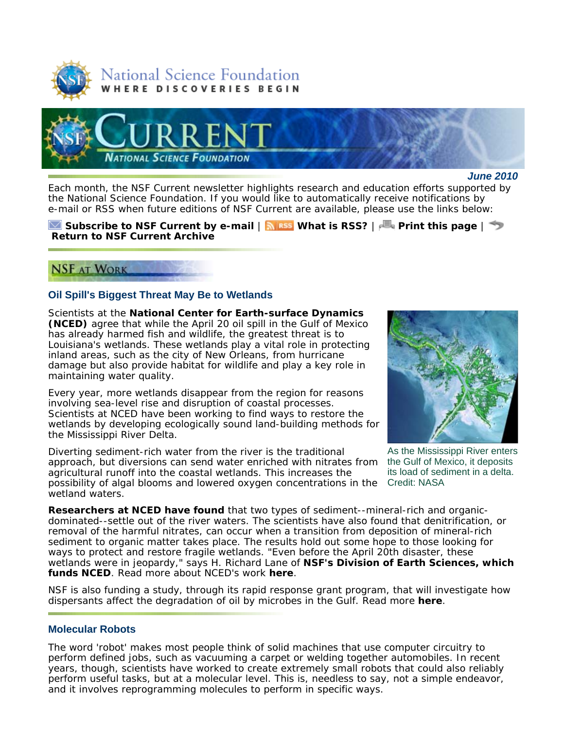



#### *June 2010*

Each month, the *NSF Current* newsletter highlights research and education efforts supported by the National Science Foundation. If you would like to automatically receive notifications by e-mail or RSS when future editions of *NSF Current* are available, please use the links below:

**Subscribe to** *NSF Current* **by e-mail** | **What is RSS?** | **Print this page** | **Return to** *NSF Current* **Archive**

## **NSF AT WORK**

## **Oil Spill's Biggest Threat May Be to Wetlands**

Scientists at the **National Center for Earth-surface Dynamics (NCED)** agree that while the April 20 oil spill in the Gulf of Mexico has already harmed fish and wildlife, the greatest threat is to Louisiana's wetlands. These wetlands play a vital role in protecting inland areas, such as the city of New Orleans, from hurricane damage but also provide habitat for wildlife and play a key role in maintaining water quality.

Every year, more wetlands disappear from the region for reasons involving sea-level rise and disruption of coastal processes. Scientists at NCED have been working to find ways to restore the wetlands by developing ecologically sound land-building methods for the Mississippi River Delta.

possibility of algal blooms and lowered oxygen concentrations in the Credit: NASA Diverting sediment-rich water from the river is the traditional approach, but diversions can send water enriched with nitrates from agricultural runoff into the coastal wetlands. This increases the wetland waters.



As the Mississippi River enters the Gulf of Mexico, it deposits its load of sediment in a delta.

**Researchers at NCED have found** that two types of sediment--mineral-rich and organicdominated--settle out of the river waters. The scientists have also found that denitrification, or removal of the harmful nitrates, can occur when a transition from deposition of mineral-rich sediment to organic matter takes place. The results hold out some hope to those looking for ways to protect and restore fragile wetlands. "Even before the April 20th disaster, these wetlands were in jeopardy," says H. Richard Lane of **NSF's Division of Earth Sciences, which funds NCED**. Read more about NCED's work **here**.

NSF is also funding a study, through its rapid response grant program, that will investigate how dispersants affect the degradation of oil by microbes in the Gulf. Read more **here**.

### **Molecular Robots**

The word 'robot' makes most people think of solid machines that use computer circuitry to perform defined jobs, such as vacuuming a carpet or welding together automobiles. In recent years, though, scientists have worked to create extremely small robots that could also reliably perform useful tasks, but at a molecular level. This is, needless to say, not a simple endeavor, and it involves reprogramming molecules to perform in specific ways.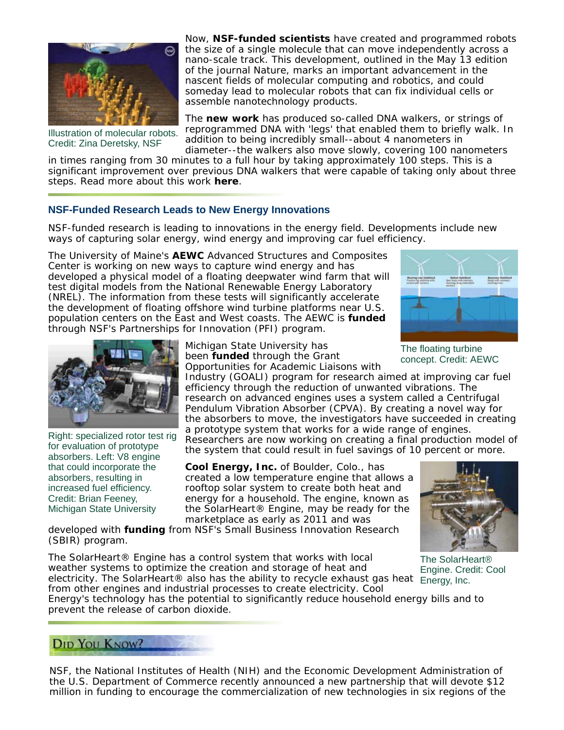

Illustration of molecular robots. Credit: Zina Deretsky, NSF

Now, **NSF-funded scientists** have created and programmed robots the size of a single molecule that can move independently across a nano-scale track. This development, outlined in the May 13 edition of the journal *Nature*, marks an important advancement in the nascent fields of molecular computing and robotics, and could someday lead to molecular robots that can fix individual cells or assemble nanotechnology products.

The **new work** has produced so-called DNA walkers, or strings of reprogrammed DNA with 'legs' that enabled them to briefly walk. In addition to being incredibly small--about 4 nanometers in diameter--the walkers also move slowly, covering 100 nanometers

in times ranging from 30 minutes to a full hour by taking approximately 100 steps. This is a significant improvement over previous DNA walkers that were capable of taking only about three steps. Read more about this work **here**.

## **NSF-Funded Research Leads to New Energy Innovations**

NSF-funded research is leading to innovations in the energy field. Developments include new ways of capturing solar energy, wind energy and improving car fuel efficiency.

The University of Maine's **AEWC** Advanced Structures and Composites Center is working on new ways to capture wind energy and has developed a physical model of a floating deepwater wind farm that will test digital models from the National Renewable Energy Laboratory (NREL). The information from these tests will significantly accelerate the development of floating offshore wind turbine platforms near U.S. population centers on the East and West coasts. The AEWC is **funded** through NSF's Partnerships for Innovation (PFI) program.



The floating turbine concept. Credit: AEWC



Right: specialized rotor test rig for evaluation of prototype absorbers. Left: V8 engine that could incorporate the absorbers, resulting in increased fuel efficiency. Credit: Brian Feeney, Michigan State University

Michigan State University has been **funded** through the Grant Opportunities for Academic Liaisons with

Industry (GOALI) program for research aimed at improving car fuel efficiency through the reduction of unwanted vibrations. The research on advanced engines uses a system called a Centrifugal Pendulum Vibration Absorber (CPVA). By creating a novel way for the absorbers to move, the investigators have succeeded in creating a prototype system that works for a wide range of engines. Researchers are now working on creating a final production model of the system that could result in fuel savings of 10 percent or more.

**Cool Energy, Inc.** of Boulder, Colo., has created a low temperature engine that allows a rooftop solar system to create both heat and energy for a household. The engine, known as the SolarHeart® Engine, may be ready for the marketplace as early as 2011 and was

developed with **funding** from NSF's Small Business Innovation Research (SBIR) program.

electricity. The SolarHeart® also has the ability to recycle exhaust gas heat Energy, Inc. The SolarHeart® Engine has a control system that works with local weather systems to optimize the creation and storage of heat and from other engines and industrial processes to create electricity. Cool



The SolarHeart® Engine. Credit: Cool

Energy's technology has the potential to significantly reduce household energy bills and to prevent the release of carbon dioxide.

# **DID YOU KNOW?**

NSF, the National Institutes of Health (NIH) and the Economic Development Administration of the U.S. Department of Commerce recently announced a new partnership that will devote \$12 million in funding to encourage the commercialization of new technologies in six regions of the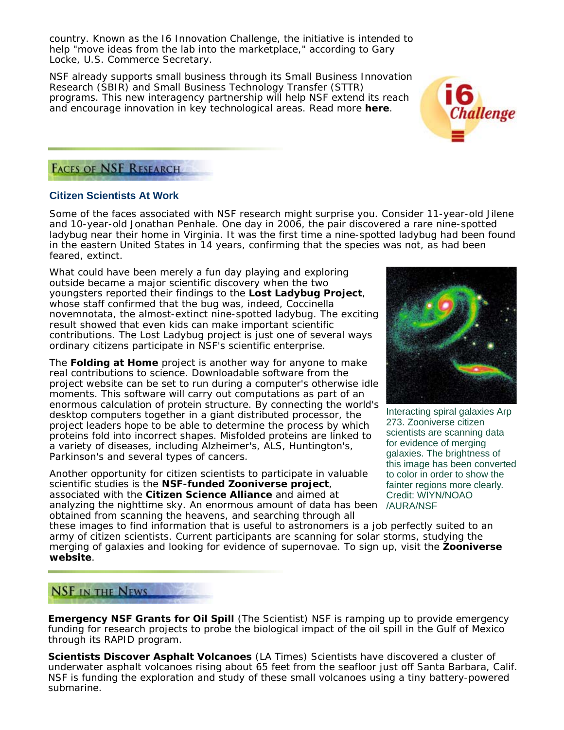country. Known as the I6 Innovation Challenge, the initiative is intended to help "move ideas from the lab into the marketplace," according to Gary Locke, U.S. Commerce Secretary.

NSF already supports small business through its Small Business Innovation Research (SBIR) and Small Business Technology Transfer (STTR) programs. This new interagency partnership will help NSF extend its reach and encourage innovation in key technological areas. Read more **here**.



# **FACES OF NSF RESEARCH**

## **Citizen Scientists At Work**

Some of the faces associated with NSF research might surprise you. Consider 11-year-old Jilene and 10-year-old Jonathan Penhale. One day in 2006, the pair discovered a rare nine-spotted ladybug near their home in Virginia. It was the first time a nine-spotted ladybug had been found in the eastern United States in 14 years, confirming that the species was not, as had been feared, extinct.

What could have been merely a fun day playing and exploring outside became a major scientific discovery when the two youngsters reported their findings to the **Lost Ladybug Project**, whose staff confirmed that the bug was, indeed, *Coccinella novemnotata*, the almost-extinct nine-spotted ladybug. The exciting result showed that even kids can make important scientific contributions. The Lost Ladybug project is just one of several ways ordinary citizens participate in NSF's scientific enterprise.

The **Folding at Home** project is another way for anyone to make real contributions to science. Downloadable software from the project website can be set to run during a computer's otherwise idle moments. This software will carry out computations as part of an enormous calculation of protein structure. By connecting the world's desktop computers together in a giant distributed processor, the project leaders hope to be able to determine the process by which proteins fold into incorrect shapes. Misfolded proteins are linked to a variety of diseases, including Alzheimer's, ALS, Huntington's, Parkinson's and several types of cancers.

analyzing the nighttime sky. An enormous amount of data has been /AURA/NSF Another opportunity for citizen scientists to participate in valuable scientific studies is the **NSF-funded Zooniverse project**, associated with the **Citizen Science Alliance** and aimed at obtained from scanning the heavens, and searching through all



Interacting spiral galaxies Arp 273. Zooniverse citizen scientists are scanning data for evidence of merging galaxies. The brightness of this image has been converted to color in order to show the fainter regions more clearly. Credit: WIYN/NOAO

these images to find information that is useful to astronomers is a job perfectly suited to an army of citizen scientists. Current participants are scanning for solar storms, studying the merging of galaxies and looking for evidence of supernovae. To sign up, visit the **Zooniverse website**.

# **NSF IN THE NEWS**

**Emergency NSF Grants for Oil Spill** (*The Scientist*) NSF is ramping up to provide emergency funding for research projects to probe the biological impact of the oil spill in the Gulf of Mexico through its RAPID program.

**Scientists Discover Asphalt Volcanoes** (*LA Times*) Scientists have discovered a cluster of underwater asphalt volcanoes rising about 65 feet from the seafloor just off Santa Barbara, Calif. NSF is funding the exploration and study of these small volcanoes using a tiny battery-powered submarine.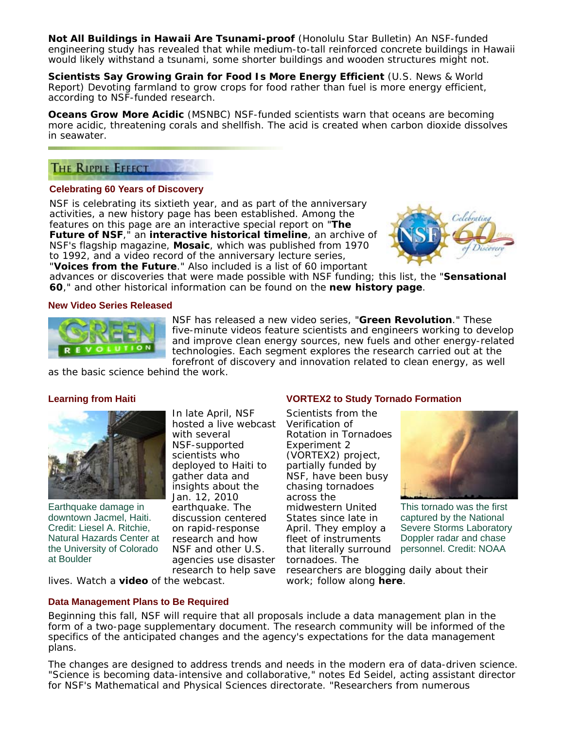**Not All Buildings in Hawaii Are Tsunami-proof** (*Honolulu Star Bulletin*) An NSF-funded engineering study has revealed that while medium-to-tall reinforced concrete buildings in Hawaii would likely withstand a tsunami, some shorter buildings and wooden structures might not.

**Scientists Say Growing Grain for Food Is More Energy Efficient** (*U.S. News & World Report*) Devoting farmland to grow crops for food rather than fuel is more energy efficient, according to NSF-funded research.

**Oceans Grow More Acidic** (*MSNBC*) NSF-funded scientists warn that oceans are becoming more acidic, threatening corals and shellfish. The acid is created when carbon dioxide dissolves in seawater.

# THE RIPPLE EFFECT

### **Celebrating 60 Years of Discovery**

NSF is celebrating its sixtieth year, and as part of the anniversary activities, a new history page has been established. Among the features on this page are an interactive special report on "**The Future of NSF**," an **interactive historical timeline**, an archive of NSF's flagship magazine, *Mosaic*, which was published from 1970 to 1992, and a video record of the anniversary lecture series,



"**Voices from the Future**." Also included is a list of 60 important advances or discoveries that were made possible with NSF funding; this list, the "**Sensational 60**," and other historical information can be found on the **new history page**.

### **New Video Series Released**



NSF has released a new video series, "**Green Revolution**." These five-minute videos feature scientists and engineers working to develop and improve clean energy sources, new fuels and other energy-related technologies. Each segment explores the research carried out at the forefront of discovery and innovation related to clean energy, as well

as the basic science behind the work.

### **Learning from Haiti**



Earthquake damage in downtown Jacmel, Haiti. Credit: Liesel A. Ritchie, Natural Hazards Center at the University of Colorado at Boulder

In late April, NSF hosted a live webcast with several NSF-supported scientists who deployed to Haiti to gather data and insights about the Jan. 12, 2010 earthquake. The discussion centered on rapid-response research and how NSF and other U.S. agencies use disaster research to help save

### **VORTEX2 to Study Tornado Formation**

that literally surround personnel. Credit: NOAA Scientists from the Verification of Rotation in Tornadoes Experiment 2 (VORTEX2) project, partially funded by NSF, have been busy chasing tornadoes across the midwestern United States since late in April. They employ a fleet of instruments tornadoes. The



This tornado was the first captured by the National Severe Storms Laboratory Doppler radar and chase

researchers are blogging daily about their work; follow along **here**.

lives. Watch a **video** of the webcast.

### **Data Management Plans to Be Required**

Beginning this fall, NSF will require that all proposals include a data management plan in the form of a two-page supplementary document. The research community will be informed of the specifics of the anticipated changes and the agency's expectations for the data management plans.

The changes are designed to address trends and needs in the modern era of data-driven science. "Science is becoming data-intensive and collaborative," notes Ed Seidel, acting assistant director for NSF's Mathematical and Physical Sciences directorate. "Researchers from numerous